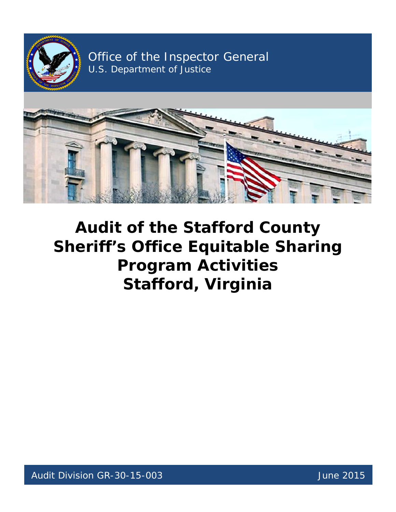

Office of the Inspector General U.S. Department of Justice



# **Audit of the Stafford County Sheriff's Office Equitable Sharing Program Activities Stafford, Virginia**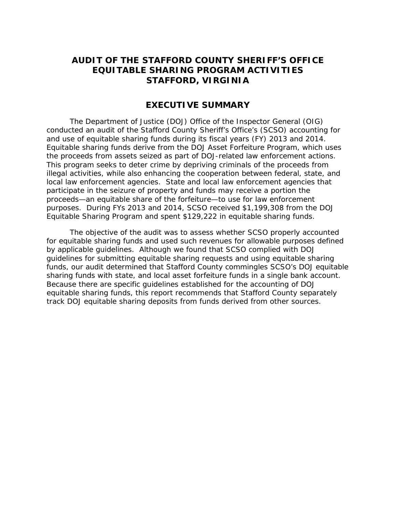## **AUDIT OF THE STAFFORD COUNTY SHERIFF'S OFFICE EQUITABLE SHARING PROGRAM ACTIVITIES STAFFORD, VIRGINIA**

## **EXECUTIVE SUMMARY**

 conducted an audit of the Stafford County Sheriff's Office's (SCSO) accounting for and use of equitable sharing funds during its fiscal years (FY) 2013 and 2014. the proceeds from assets seized as part of DOJ-related law enforcement actions. local law enforcement agencies. State and local law enforcement agencies that purposes. During FYs 2013 and 2014, SCSO received \$1,199,308 from the DOJ Equitable Sharing Program and spent \$129,222 in equitable sharing funds. The Department of Justice (DOJ) Office of the Inspector General (OIG) Equitable sharing funds derive from the DOJ Asset Forfeiture Program, which uses This program seeks to deter crime by depriving criminals of the proceeds from illegal activities, while also enhancing the cooperation between federal, state, and participate in the seizure of property and funds may receive a portion the proceeds—an equitable share of the forfeiture—to use for law enforcement

 by applicable guidelines. Although we found that SCSO complied with DOJ funds, our audit determined that Stafford County commingles SCSO's DOJ equitable sharing funds with state, and local asset forfeiture funds in a single bank account. track DOJ equitable sharing deposits from funds derived from other sources. The objective of the audit was to assess whether SCSO properly accounted for equitable sharing funds and used such revenues for allowable purposes defined guidelines for submitting equitable sharing requests and using equitable sharing Because there are specific guidelines established for the accounting of DOJ equitable sharing funds, this report recommends that Stafford County separately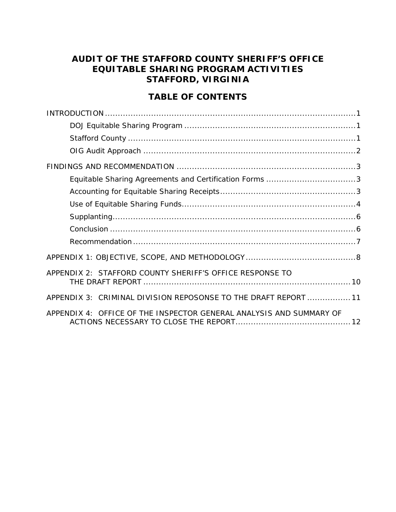# **EQUITABLE SHARING PROGRAM ACTIVITIES AUDIT OF THE STAFFORD COUNTY SHERIFF'S OFFICE STAFFORD, VIRGINIA**

# **TABLE OF CONTENTS**

| Equitable Sharing Agreements and Certification Forms 3              |  |
|---------------------------------------------------------------------|--|
|                                                                     |  |
|                                                                     |  |
|                                                                     |  |
|                                                                     |  |
|                                                                     |  |
|                                                                     |  |
| APPENDIX 2: STAFFORD COUNTY SHERIFF'S OFFICE RESPONSE TO            |  |
| APPENDIX 3: CRIMINAL DIVISION REPOSONSE TO THE DRAFT REPORT  11     |  |
| APPENDIX 4: OFFICE OF THE INSPECTOR GENERAL ANALYSIS AND SUMMARY OF |  |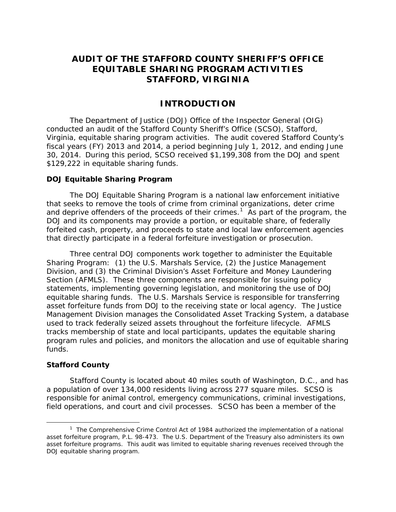# **STAFFORD, VIRGINIA AUDIT OF THE STAFFORD COUNTY SHERIFF'S OFFICE EQUITABLE SHARING PROGRAM ACTIVITIES**

## **INTRODUCTION**

<span id="page-3-0"></span> conducted an audit of the Stafford County Sheriff's Office (SCSO), Stafford, The Department of Justice (DOJ) Office of the Inspector General (OIG) Virginia, equitable sharing program activities. The audit covered Stafford County's fiscal years (FY) 2013 and 2014, a period beginning July 1, 2012, and ending June 30, 2014. During this period, SCSO received \$1,199,308 from the DOJ and spent \$129,222 in equitable sharing funds.

#### <span id="page-3-1"></span>**DOJ Equitable Sharing Program**

and deprive offenders of the proceeds of their crimes.<sup>1</sup> As part of the program, the that directly participate in a federal forfeiture investigation or prosecution. The DOJ Equitable Sharing Program is a national law enforcement initiative that seeks to remove the tools of crime from criminal organizations, deter crime DOJ and its components may provide a portion, or equitable share, of federally forfeited cash, property, and proceeds to state and local law enforcement agencies

 equitable sharing funds. The U.S. Marshals Service is responsible for transferring asset forfeiture funds from DOJ to the receiving state or local agency. The Justice funds. Three central DOJ components work together to administer the Equitable Sharing Program: (1) the U.S. Marshals Service, (2) the Justice Management Division, and (3) the Criminal Division's Asset Forfeiture and Money Laundering Section (AFMLS). These three components are responsible for issuing policy statements, implementing governing legislation, and monitoring the use of DOJ Management Division manages the Consolidated Asset Tracking System, a database used to track federally seized assets throughout the forfeiture lifecycle. AFMLS tracks membership of state and local participants, updates the equitable sharing program rules and policies, and monitors the allocation and use of equitable sharing

#### <span id="page-3-2"></span> **Stafford County**

l

 a population of over 134,000 residents living across 277 square miles. SCSO is field operations, and court and civil processes. SCSO has been a member of the Stafford County is located about 40 miles south of Washington, D.C., and has responsible for animal control, emergency communications, criminal investigations,

<span id="page-3-3"></span> $1$  The Comprehensive Crime Control Act of 1984 authorized the implementation of a national asset forfeiture programs. This audit was limited to equitable sharing revenues received through the asset forfeiture program, P.L. 98-473. The U.S. Department of the Treasury also administers its own DOJ equitable sharing program.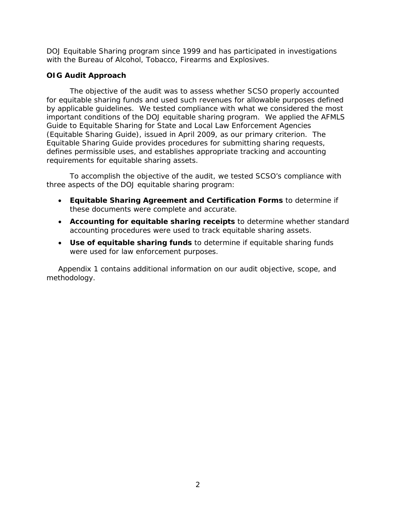DOJ Equitable Sharing program since 1999 and has participated in investigations with the Bureau of Alcohol, Tobacco, Firearms and Explosives.

## <span id="page-4-0"></span>**OIG Audit Approach**

 important conditions of the DOJ equitable sharing program. We applied the AFMLS (Equitable Sharing Guide), issued in April 2009, as our primary criterion. The The objective of the audit was to assess whether SCSO properly accounted for equitable sharing funds and used such revenues for allowable purposes defined by applicable guidelines. We tested compliance with what we considered the most *Guide to Equitable Sharing for State and Local Law Enforcement Agencies*  Equitable Sharing Guide provides procedures for submitting sharing requests, defines permissible uses, and establishes appropriate tracking and accounting requirements for equitable sharing assets.

To accomplish the objective of the audit, we tested SCSO's compliance with three aspects of the DOJ equitable sharing program:

- • **Equitable Sharing Agreement and Certification Forms** to determine if these documents were complete and accurate.
- • **Accounting for equitable sharing receipts** to determine whether standard accounting procedures were used to track equitable sharing assets.
- were used for law enforcement purposes. • **Use of equitable sharing funds** to determine if equitable sharing funds

methodology. Appendix 1 contains additional information on our audit objective, scope, and methodology. 2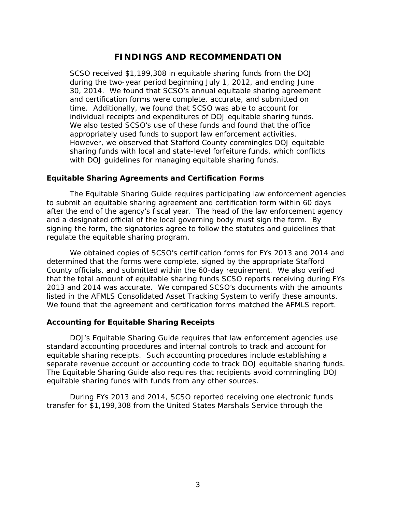## **FINDINGS AND RECOMMENDATION**

<span id="page-5-0"></span> during the two-year period beginning July 1, 2012, and ending June 30, 2014. We found that SCSO's annual equitable sharing agreement and certification forms were complete, accurate, and submitted on time. Additionally, we found that SCSO was able to account for appropriately used funds to support law enforcement activities. However, we observed that Stafford County commingles DOJ equitable with DOJ guidelines for managing equitable sharing funds. SCSO received \$1,199,308 in equitable sharing funds from the DOJ individual receipts and expenditures of DOJ equitable sharing funds. We also tested SCSO's use of these funds and found that the office sharing funds with local and state-level forfeiture funds, which conflicts

#### <span id="page-5-1"></span>**Equitable Sharing Agreements and Certification Forms**

 after the end of the agency's fiscal year. The head of the law enforcement agency and a designated official of the local governing body must sign the form. By The Equitable Sharing Guide requires participating law enforcement agencies to submit an equitable sharing agreement and certification form within 60 days signing the form, the signatories agree to follow the statutes and guidelines that regulate the equitable sharing program.

 County officials, and submitted within the 60-day requirement. We also verified that the total amount of equitable sharing funds SCSO reports receiving during FYs 2013 and 2014 was accurate. We compared SCSO's documents with the amounts listed in the AFMLS Consolidated Asset Tracking System to verify these amounts. listed in the AFMLS Consolidated Asset Tracking System to verify these amounts.<br>We found that the agreement and certification forms matched the AFMLS report. We obtained copies of SCSO's certification forms for FYs 2013 and 2014 and determined that the forms were complete, signed by the appropriate Stafford

#### <span id="page-5-2"></span>**Accounting for Equitable Sharing Receipts**

 equitable sharing receipts. Such accounting procedures include establishing a equitable sharing funds with funds from any other sources. DOJ's Equitable Sharing Guide requires that law enforcement agencies use standard accounting procedures and internal controls to track and account for separate revenue account or accounting code to track DOJ equitable sharing funds. The Equitable Sharing Guide also requires that recipients avoid commingling DOJ

 equitable sharing funds with funds from any other sources. During FYs 2013 and 2014, SCSO reported receiving one electronic funds transfer for \$1,199,308 from the United States Marshals Service through the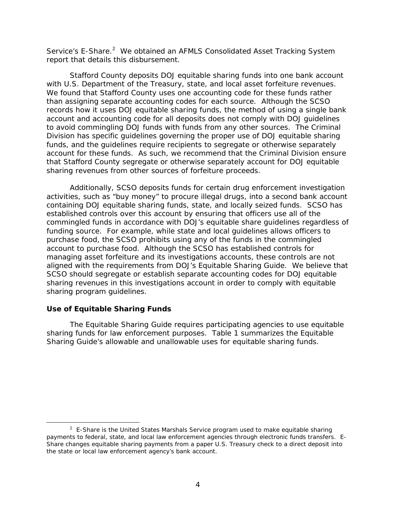Service's E-Share.<sup>[2](#page-6-1)</sup> We obtained an AFMLS Consolidated Asset Tracking System report that details this disbursement.

 with U.S. Department of the Treasury, state, and local asset forfeiture revenues. than assigning separate accounting codes for each source. Although the SCSO to avoid commingling DOJ funds with funds from any other sources. The Criminal account for these funds. As such, we recommend that the Criminal Division ensure sharing revenues from other sources of forfeiture proceeds. Stafford County deposits DOJ equitable sharing funds into one bank account We found that Stafford County uses one accounting code for these funds rather records how it uses DOJ equitable sharing funds, the method of using a single bank account and accounting code for all deposits does not comply with DOJ guidelines Division has specific guidelines governing the proper use of DOJ equitable sharing funds, and the guidelines require recipients to segregate or otherwise separately that Stafford County segregate or otherwise separately account for DOJ equitable

 containing DOJ equitable sharing funds, state, and locally seized funds. SCSO has established controls over this account by ensuring that officers use all of the commingled funds in accordance with DOJ's equitable share guidelines regardless of purchase food, the SCSO prohibits using any of the funds in the commingled account to purchase food. Although the SCSO has established controls for managing asset forfeiture and its investigations accounts, these controls are not sharing revenues in this investigations account in order to comply with equitable sharing program guidelines. Additionally, SCSO deposits funds for certain drug enforcement investigation activities, such as "buy money" to procure illegal drugs, into a second bank account funding source. For example, while state and local guidelines allows officers to aligned with the requirements from DOJ's Equitable Sharing Guide. We believe that SCSO should segregate or establish separate accounting codes for DOJ equitable

#### <span id="page-6-0"></span>**Use of Equitable Sharing Funds**

l

The Equitable Sharing Guide requires participating agencies to use equitable sharing funds for law enforcement purposes. Table 1 summarizes the Equitable Sharing Guide's allowable and unallowable uses for equitable sharing funds.

<span id="page-6-1"></span> $2$  E-Share is the United States Marshals Service program used to make equitable sharing payments to federal, state, and local law enforcement agencies through electronic funds transfers. E-Share changes equitable sharing payments from a paper U.S. Treasury check to a direct deposit into the state or local law enforcement agency's bank account.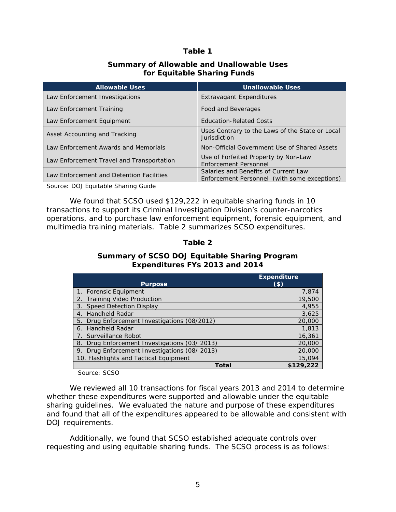#### **Table 1**

#### **Summary of Allowable and Unallowable Uses for Equitable Sharing Funds**

| <b>Allowable Uses</b>                     | <b>Unallowable Uses</b>                                                              |
|-------------------------------------------|--------------------------------------------------------------------------------------|
| Law Enforcement Investigations            | <b>Extravagant Expenditures</b>                                                      |
| Law Enforcement Training                  | Food and Beverages                                                                   |
| Law Enforcement Equipment                 | <b>Education-Related Costs</b>                                                       |
| Asset Accounting and Tracking             | Uses Contrary to the Laws of the State or Local<br><b>Jurisdiction</b>               |
| Law Enforcement Awards and Memorials      | Non-Official Government Use of Shared Assets                                         |
| Law Enforcement Travel and Transportation | Use of Forfeited Property by Non-Law<br>Enforcement Personnel                        |
| Law Enforcement and Detention Facilities  | Salaries and Benefits of Current Law<br>Enforcement Personnel (with some exceptions) |

Source: DOJ Equitable Sharing Guide

 We found that SCSO used \$129,222 in equitable sharing funds in 10 operations, and to purchase law enforcement equipment, forensic equipment, and multimedia training materials. Table 2 summarizes SCSO expenditures. transactions to support its Criminal Investigation Division's counter-narcotics

#### **Table 2**

#### **Summary of SCSO DOJ Equitable Sharing Program Expenditures FYs 2013 and 2014**

|                                              | <b>Expenditure</b> |
|----------------------------------------------|--------------------|
| <b>Purpose</b>                               | (\$)               |
| 1. Forensic Equipment                        | 7,874              |
| 2. Training Video Production                 | 19,500             |
| 3. Speed Detection Display                   | 4,955              |
| 4. Handheld Radar                            | 3,625              |
| 5. Drug Enforcement Investigations (08/2012) | 20,000             |
| 6. Handheld Radar                            | 1,813              |
| 7. Surveillance Robot                        | 16,361             |
| 8. Drug Enforcement Investigations (03/2013) | 20,000             |
| 9. Drug Enforcement Investigations (08/2013) | 20,000             |
| 10. Flashlights and Tactical Equipment       | 15,094             |
| <b>Total</b>                                 | \$129,222          |

Source: SCSO

 sharing guidelines. We evaluated the nature and purpose of these expenditures and found that all of the expenditures appeared to be allowable and consistent with We reviewed all 10 transactions for fiscal years 2013 and 2014 to determine whether these expenditures were supported and allowable under the equitable DOJ requirements.

 Additionally, we found that SCSO established adequate controls over requesting and using equitable sharing funds. The SCSO process is as follows: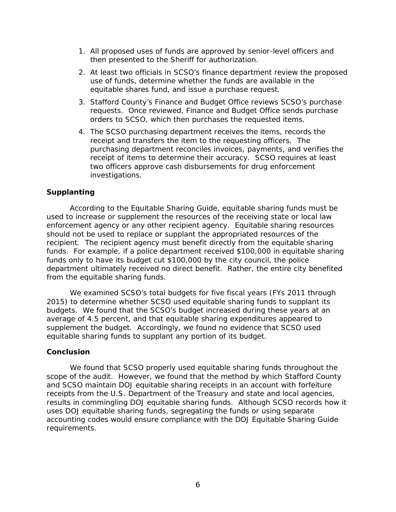- then presented to the Sheriff for authorization. 1. All proposed uses of funds are approved by senior-level officers and
- use of funds, determine whether the funds are available in the equitable shares fund, and issue a purchase request. 2. At least two officials in SCSO's finance department review the proposed
- requests. Once reviewed, Finance and Budget Office sends purchase 3. Stafford County's Finance and Budget Office reviews SCSO's purchase orders to SCSO, which then purchases the requested items.
- receipt and transfers the item to the requesting officers. The purchasing department reconciles invoices, payments, and verifies the receipt of items to determine their accuracy. SCSO requires at least 4. The SCSO purchasing department receives the items, records the two officers approve cash disbursements for drug enforcement investigations.

#### <span id="page-8-0"></span>**Supplanting**

 enforcement agency or any other recipient agency. Equitable sharing resources recipient. The recipient agency must benefit directly from the equitable sharing funds. For example, if a police department received \$100,000 in equitable sharing funds only to have its budget cut \$100,000 by the city council, the police department ultimately received no direct benefit. Rather, the entire city benefited from the equitable sharing funds. According to the Equitable Sharing Guide, equitable sharing funds must be used to increase or supplement the resources of the receiving state or local law should not be used to replace or supplant the appropriated resources of the

 We examined SCSO's total budgets for five fiscal years (FYs 2011 through 2015) to determine whether SCSO used equitable sharing funds to supplant its supplement the budget. Accordingly, we found no evidence that SCSO used equitable sharing funds to supplant any portion of its budget. budgets. We found that the SCSO's budget increased during these years at an average of 4.5 percent, and that equitable sharing expenditures appeared to

#### <span id="page-8-1"></span>**Conclusion**

We found that SCSO properly used equitable sharing funds throughout the scope of the audit. However, we found that the method by which Stafford County and SCSO maintain DOJ equitable sharing receipts in an account with forfeiture receipts from the U.S. Department of the Treasury and state and local agencies, results in commingling DOJ equitable sharing funds. Although SCSO records how it uses DOJ equitable sharing funds, segregating the funds or using separate accounting codes would ensure compliance with the DOJ Equitable Sharing Guide requirements.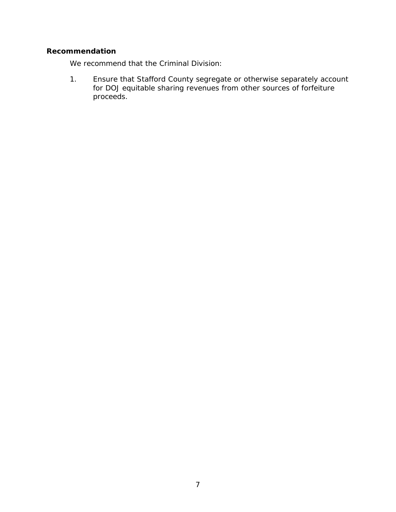#### <span id="page-9-0"></span>**Recommendation**

We recommend that the Criminal Division:

1. Ensure that Stafford County segregate or otherwise separately account for DOJ equitable sharing revenues from other sources of forfeiture proceeds.<br>
7<br>
7<br>
7<br>
7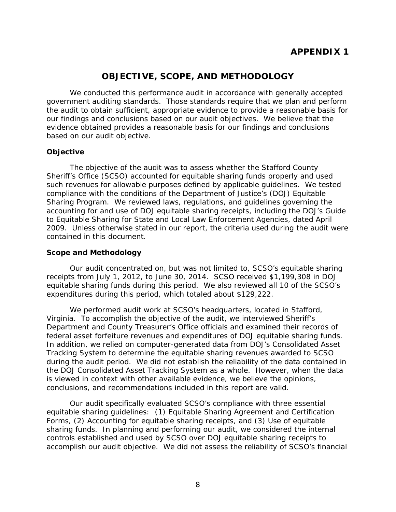# **APPENDIX 1**

## **OBJECTIVE, SCOPE, AND METHODOLOGY**

<span id="page-10-0"></span> government auditing standards. Those standards require that we plan and perform We conducted this performance audit in accordance with generally accepted the audit to obtain sufficient, appropriate evidence to provide a reasonable basis for our findings and conclusions based on our audit objectives. We believe that the evidence obtained provides a reasonable basis for our findings and conclusions based on our audit objective.

#### **Objective**

 Sheriff's Office (SCSO) accounted for equitable sharing funds properly and used Sharing Program. We reviewed laws, regulations, and guidelines governing the 2009. Unless otherwise stated in our report, the criteria used during the audit were The objective of the audit was to assess whether the Stafford County such revenues for allowable purposes defined by applicable guidelines. We tested compliance with the conditions of the Department of Justice's (DOJ) Equitable accounting for and use of DOJ equitable sharing receipts, including the DOJ's *Guide to Equitable Sharing for State and Local Law Enforcement Agencies*, dated April contained in this document.

#### **Scope and Methodology**

 receipts from July 1, 2012, to June 30, 2014. SCSO received \$1,199,308 in DOJ Our audit concentrated on, but was not limited to, SCSO's equitable sharing equitable sharing funds during this period. We also reviewed all 10 of the SCSO's expenditures during this period, which totaled about \$129,222.

 Virginia. To accomplish the objective of the audit, we interviewed Sheriff's during the audit period. We did not establish the reliability of the data contained in the DOJ Consolidated Asset Tracking System as a whole. However, when the data We performed audit work at SCSO's headquarters, located in Stafford, Department and County Treasurer's Office officials and examined their records of federal asset forfeiture revenues and expenditures of DOJ equitable sharing funds. In addition, we relied on computer-generated data from DOJ's Consolidated Asset Tracking System to determine the equitable sharing revenues awarded to SCSO is viewed in context with other available evidence, we believe the opinions, conclusions, and recommendations included in this report are valid.

 equitable sharing guidelines: (1) Equitable Sharing Agreement and Certification sharing funds. In planning and performing our audit, we considered the internal accomplish our audit objective. We did not assess the reliability of SCSO's financial Our audit specifically evaluated SCSO's compliance with three essential Forms, (2) Accounting for equitable sharing receipts, and (3) Use of equitable controls established and used by SCSO over DOJ equitable sharing receipts to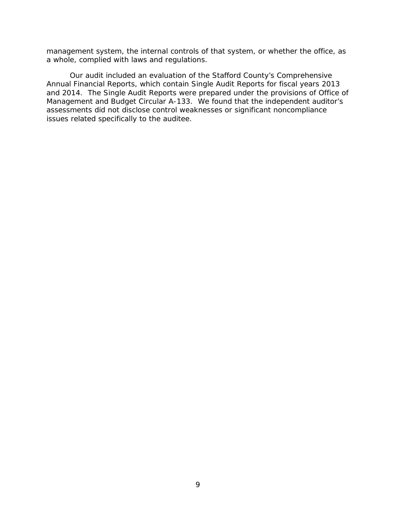management system, the internal controls of that system, or whether the office, as a whole, complied with laws and regulations.

 Management and Budget Circular A-133. We found that the independent auditor's issues related specifically to the auditee. Our audit included an evaluation of the Stafford County's Comprehensive Annual Financial Reports, which contain Single Audit Reports for fiscal years 2013 and 2014. The Single Audit Reports were prepared under the provisions of Office of assessments did not disclose control weaknesses or significant noncompliance issues related specifically to the auditee.<br>9<br>9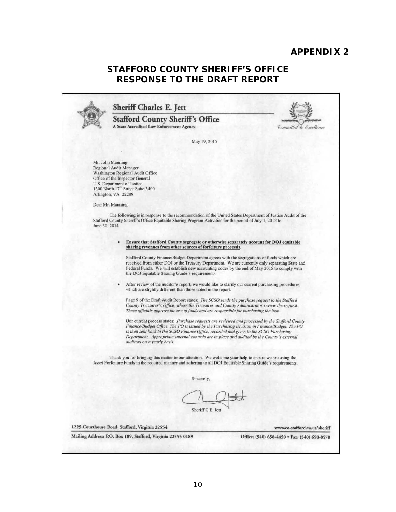## **APPENDIX 2**

# **STAFFORD COUNTY SHERIFF'S OFFICE RESPONSE TO THE DRAFT REPORT**

<span id="page-12-0"></span>

|                | <b>Sheriff Charles E. Jett</b>                                                                                                                                                                                                                                                                                                                                                                                           |                                              |
|----------------|--------------------------------------------------------------------------------------------------------------------------------------------------------------------------------------------------------------------------------------------------------------------------------------------------------------------------------------------------------------------------------------------------------------------------|----------------------------------------------|
|                | <b>Stafford County Sheriff's Office</b><br>A State Accredited Law Enforcement Agency                                                                                                                                                                                                                                                                                                                                     | Committed to Excellence                      |
|                | May 19, 2015                                                                                                                                                                                                                                                                                                                                                                                                             |                                              |
|                | Mr. John Manning<br>Regional Audit Manager<br>Washington Regional Audit Office<br>Office of the Inspector General<br>U.S. Department of Justice<br>1300 North 17 <sup>th</sup> Street Suite 3400<br>Arlington, VA 22209<br>Dear Mr. Manning:                                                                                                                                                                             |                                              |
| June 30, 2014. | The following is in response to the recommendation of the United States Department of Justice Audit of the<br>Stafford County Sheriff's Office Equitable Sharing Program Activities for the period of July 1, 2012 to                                                                                                                                                                                                    |                                              |
|                | Ensure that Stafford County segregate or otherwise separately account for DOJ equitable<br>sharing revenues from other sources of forfeiture proceeds.                                                                                                                                                                                                                                                                   |                                              |
|                | Stafford County Finance/Budget Department agrees with the segregations of funds which are<br>received from either DOJ or the Treasury Department. We are currently only separating State and<br>Federal Funds. We will establish new accounting codes by the end of May 2015 to comply with<br>the DOJ Equitable Sharing Guide's requirements.                                                                           |                                              |
|                | After review of the auditor's report, we would like to clarify our current purchasing procedures,<br>which are slightly different than those noted in the report.                                                                                                                                                                                                                                                        |                                              |
|                | Page 9 of the Draft Audit Report states: The SCSO sends the purchase request to the Stafford<br>County Treasurer's Office, where the Treasurer and County Administrator review the request.<br>These officials approve the use of funds and are responsible for purchasing the item.                                                                                                                                     |                                              |
|                | Our current process states: Purchase requests are reviewed and processed by the Stafford County<br>Finance/Budget Office. The PO is issued by the Purchasing Division in Finance/Budget. The PO<br>is then sent back to the SCSO Finance Office, recorded and given to the SCSO Purchasing<br>Department. Appropriate internal controls are in place and audited by the County's external<br>auditors on a yearly basis. |                                              |
|                | Thank you for bringing this matter to our attention. We welcome your help to ensure we are using the<br>Asset Forfeiture Funds in the required manner and adhering to all DOJ Equitable Sharing Guide's requirements.                                                                                                                                                                                                    |                                              |
|                | Sincerely,                                                                                                                                                                                                                                                                                                                                                                                                               |                                              |
|                | Sheriff C.E. Jett                                                                                                                                                                                                                                                                                                                                                                                                        |                                              |
|                | 1225 Courthouse Road, Stafford, Virginia 22554                                                                                                                                                                                                                                                                                                                                                                           | www.co.stafford.va.us/sheriff                |
|                | Mailing Address: P.O. Box 189, Stafford, Virginia 22555-0189                                                                                                                                                                                                                                                                                                                                                             | Office: (540) 658-4450 · Fax: (540) 658-8570 |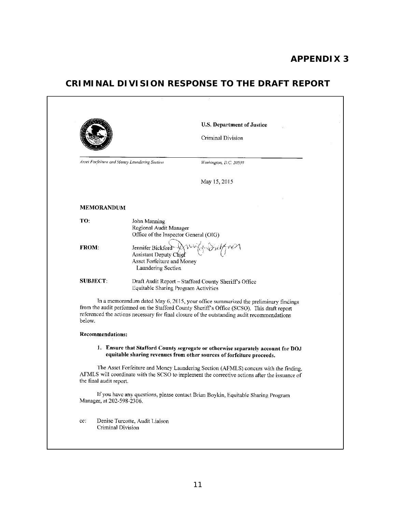## **APPENDIX 3**

# **CRIMINAL DIVISION RESPONSE TO THE DRAFT REPORT**

|                                                                                 |                                                                                                 | U.S. Department of Justice                                                                                                                                                                                                                                                      |
|---------------------------------------------------------------------------------|-------------------------------------------------------------------------------------------------|---------------------------------------------------------------------------------------------------------------------------------------------------------------------------------------------------------------------------------------------------------------------------------|
|                                                                                 |                                                                                                 | Criminal Division                                                                                                                                                                                                                                                               |
| Asset Forfeiture and Money Laundering Section                                   |                                                                                                 | Washington, D.C. 20530                                                                                                                                                                                                                                                          |
|                                                                                 |                                                                                                 | May 15, 2015                                                                                                                                                                                                                                                                    |
| <b>MEMORANDUM</b>                                                               |                                                                                                 |                                                                                                                                                                                                                                                                                 |
| TO:                                                                             | John Manning<br>Regional Audit Manager<br>Office of the Inspector General (OIG)                 |                                                                                                                                                                                                                                                                                 |
| <b>FROM:</b>                                                                    | Jennifer Bickford<br>Assistant Deputy Chief<br>Asset Forfeiture and Money<br>Laundering Section |                                                                                                                                                                                                                                                                                 |
| <b>SUBJECT:</b>                                                                 | Equitable Sharing Program Activities                                                            | Draft Audit Report - Stafford County Sheriff's Office                                                                                                                                                                                                                           |
| below.                                                                          |                                                                                                 | In a memorandum dated May 6, 2015, your office summarized the preliminary findings<br>from the audit performed on the Stafford County Sheriff's Office (SCSO). This draft report<br>referenced the actions necessary for final closure of the outstanding audit recommendations |
|                                                                                 |                                                                                                 |                                                                                                                                                                                                                                                                                 |
|                                                                                 |                                                                                                 | 1. Ensure that Stafford County segregate or otherwise separately account for DOJ<br>equitable sharing revenues from other sources of forfeiture proceeds.                                                                                                                       |
|                                                                                 |                                                                                                 |                                                                                                                                                                                                                                                                                 |
|                                                                                 |                                                                                                 | The Asset Forfeiture and Money Laundering Section (AFMLS) concurs with the finding.<br>AFMLS will coordinate with the SCSO to implement the corrective actions after the issuance of                                                                                            |
| <b>Recommendations:</b><br>the final audit report.<br>Manager, at 202-598-2306. |                                                                                                 | If you have any questions, please contact Brian Boykin, Equitable Sharing Program                                                                                                                                                                                               |